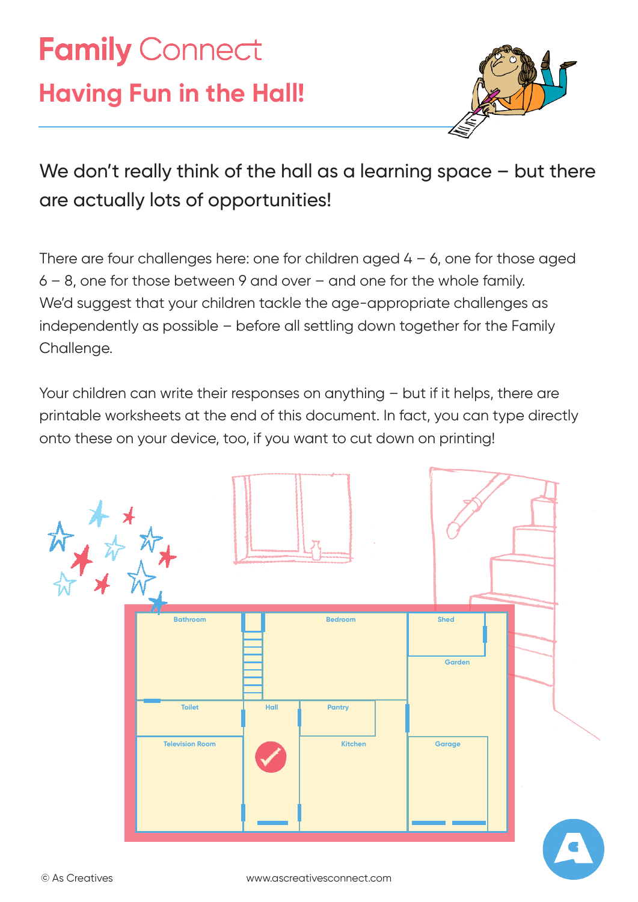# **Family Connect Having Fun in the Hall!**



### We don't really think of the hall as a learning space – but there are actually lots of opportunities!

There are four challenges here: one for children aged  $4 - 6$ , one for those aged 6 – 8, one for those between 9 and over – and one for the whole family. We'd suggest that your children tackle the age-appropriate challenges as independently as possible – before all settling down together for the Family Challenge.

Your children can write their responses on anything – but if it helps, there are printable worksheets at the end of this document. In fact, you can type directly onto these on your device, too, if you want to cut down on printing!

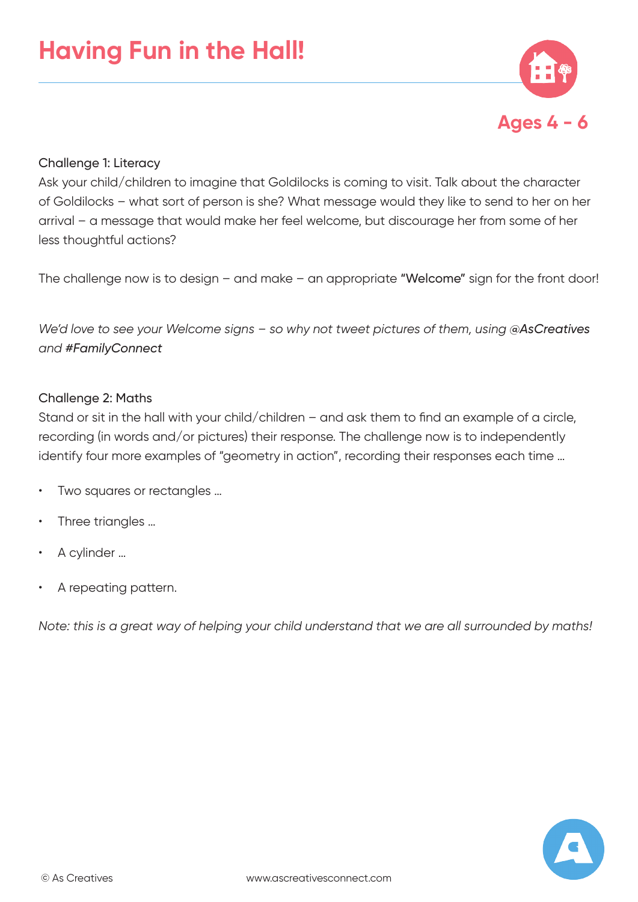

#### Challenge 1: Literacy

Ask your child/children to imagine that Goldilocks is coming to visit. Talk about the character of Goldilocks – what sort of person is she? What message would they like to send to her on her arrival – a message that would make her feel welcome, but discourage her from some of her less thoughtful actions?

The challenge now is to design – and make – an appropriate "Welcome" sign for the front door!

*We'd love to see your Welcome signs - so why not tweet pictures of them, using @AsCreatives and #FamilyConnect*

#### Challenge 2: Maths

Stand or sit in the hall with your child/children – and ask them to find an example of a circle, recording (in words and/or pictures) their response. The challenge now is to independently identify four more examples of "geometry in action", recording their responses each time ...

- Two squares or rectangles ...
- Three triangles ...
- A cylinder …
- A repeating pattern.

*Note: this is a great way of helping your child understand that we are all surrounded by maths!*

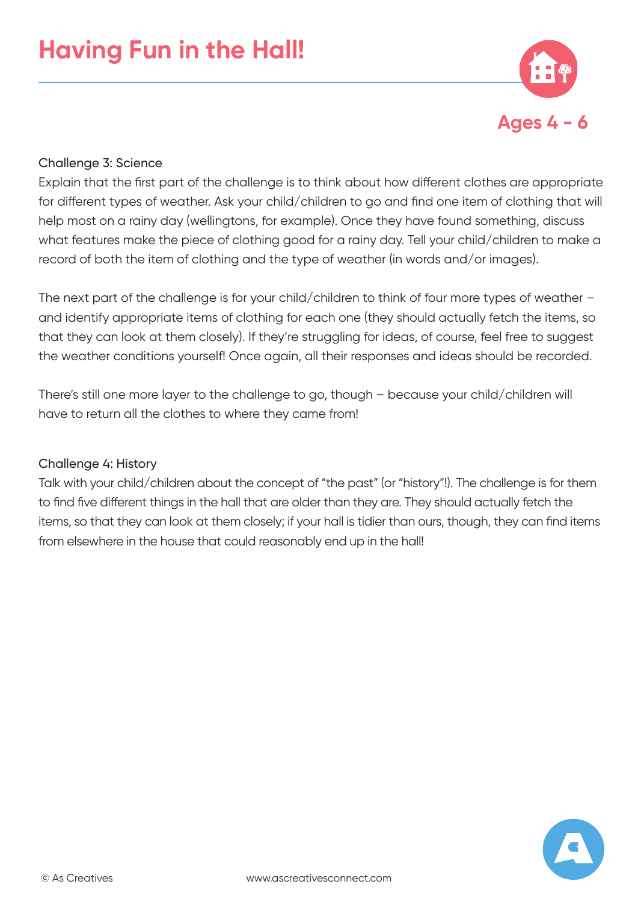

#### Challenge 3: Science

Explain that the first part of the challenge is to think about how different clothes are appropriate for different types of weather. Ask your child/children to go and find one item of clothing that will help most on a rainy day (wellingtons, for example). Once they have found something, discuss what features make the piece of clothing good for a rainy day. Tell your child/children to make a record of both the item of clothing and the type of weather (in words and/or images).

The next part of the challenge is for your child/children to think of four more types of weather – and identify appropriate items of clothing for each one (they should actually fetch the items, so that they can look at them closely). If they're struggling for ideas, of course, feel free to suggest the weather conditions yourself! Once again, all their responses and ideas should be recorded.

There's still one more layer to the challenge to go, though – because your child/children will have to return all the clothes to where they came from!

#### Challenge 4: History

Talk with your child/children about the concept of "the past" (or "history"!). The challenge is for them to find five different things in the hall that are older than they are. They should actually fetch the items, so that they can look at them closely; if your hall is tidier than ours, though, they can find items from elsewhere in the house that could reasonably end up in the hall!

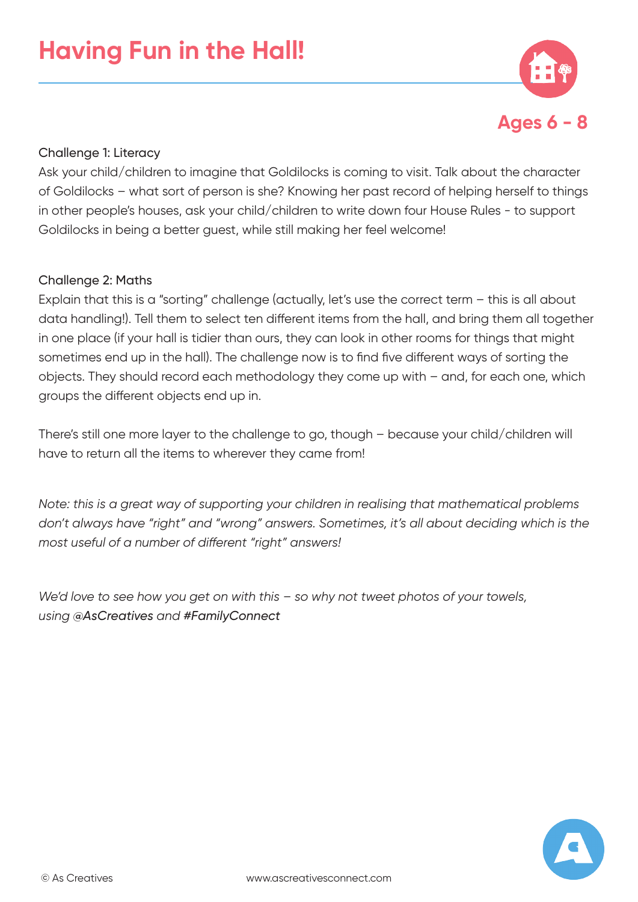

#### Challenge 1: Literacy

Ask your child/children to imagine that Goldilocks is coming to visit. Talk about the character of Goldilocks – what sort of person is she? Knowing her past record of helping herself to things in other people's houses, ask your child/children to write down four House Rules - to support Goldilocks in being a better guest, while still making her feel welcome!

#### Challenge 2: Maths

Explain that this is a "sorting" challenge (actually, let's use the correct term – this is all about data handling!). Tell them to select ten different items from the hall, and bring them all together in one place (if your hall is tidier than ours, they can look in other rooms for things that might sometimes end up in the hall). The challenge now is to find five different ways of sorting the objects. They should record each methodology they come up with – and, for each one, which groups the different objects end up in.

There's still one more layer to the challenge to go, though – because your child/children will have to return all the items to wherever they came from!

*Note: this is a great way of supporting your children in realising that mathematical problems don't always have "right" and "wrong" answers. Sometimes, it's all about deciding which is the most useful of a number of different "right" answers!*

*We'd love to see how you get on with this – so why not tweet photos of your towels, using @AsCreatives and #FamilyConnect*

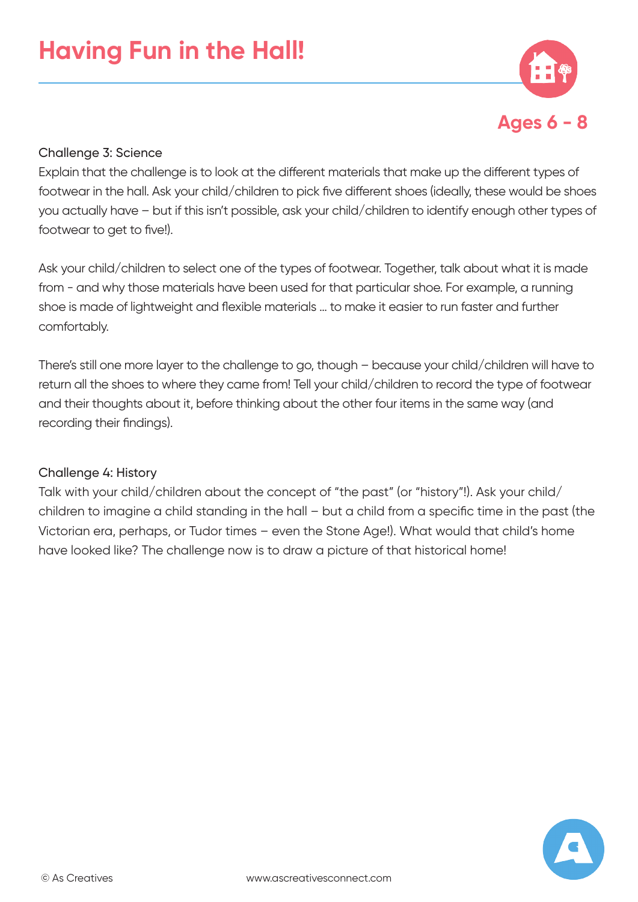

#### Challenge 3: Science

Explain that the challenge is to look at the different materials that make up the different types of footwear in the hall. Ask your child/children to pick five different shoes (ideally, these would be shoes you actually have – but if this isn't possible, ask your child/children to identify enough other types of footwear to get to five!).

Ask your child/children to select one of the types of footwear. Together, talk about what it is made from - and why those materials have been used for that particular shoe. For example, a running shoe is made of lightweight and flexible materials … to make it easier to run faster and further comfortably.

There's still one more layer to the challenge to go, though – because your child/children will have to return all the shoes to where they came from! Tell your child/children to record the type of footwear and their thoughts about it, before thinking about the other four items in the same way (and recording their findings).

#### Challenge 4: History

Talk with your child/children about the concept of "the past" (or "history"!). Ask your child/ children to imagine a child standing in the hall – but a child from a specific time in the past (the Victorian era, perhaps, or Tudor times – even the Stone Age!). What would that child's home have looked like? The challenge now is to draw a picture of that historical home!

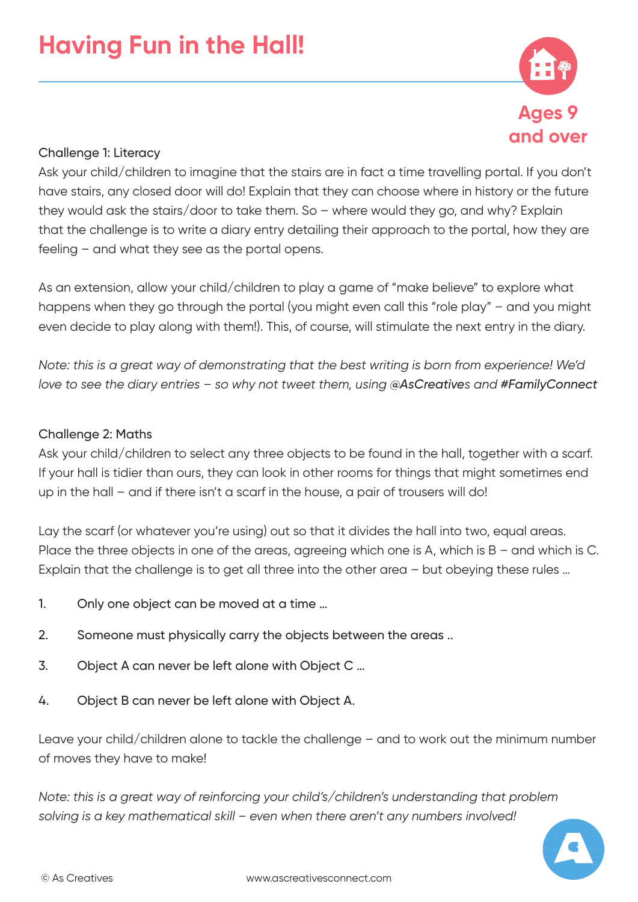

#### Challenge 1: Literacy

Ask your child/children to imagine that the stairs are in fact a time travelling portal. If you don't have stairs, any closed door will do! Explain that they can choose where in history or the future they would ask the stairs/door to take them. So – where would they go, and why? Explain that the challenge is to write a diary entry detailing their approach to the portal, how they are feeling – and what they see as the portal opens.

As an extension, allow your child/children to play a game of "make believe" to explore what happens when they go through the portal (you might even call this "role play" – and you might even decide to play along with them!). This, of course, will stimulate the next entry in the diary.

*Note: this is a great way of demonstrating that the best writing is born from experience! We'd love to see the diary entries – so why not tweet them, using @AsCreatives and #FamilyConnect*

#### Challenge 2: Maths

Ask your child/children to select any three objects to be found in the hall, together with a scarf. If your hall is tidier than ours, they can look in other rooms for things that might sometimes end up in the hall – and if there isn't a scarf in the house, a pair of trousers will do!

Lay the scarf (or whatever you're using) out so that it divides the hall into two, equal areas. Place the three objects in one of the areas, agreeing which one is A, which is B – and which is C. Explain that the challenge is to get all three into the other area – but obeying these rules …

- 1. Only one object can be moved at a time …
- 2. Someone must physically carry the objects between the areas ..
- 3. Object A can never be left alone with Object C …
- 4. Object B can never be left alone with Object A.

Leave your child/children alone to tackle the challenge – and to work out the minimum number of moves they have to make!

*Note: this is a great way of reinforcing your child's/children's understanding that problem solving is a key mathematical skill – even when there aren't any numbers involved!*

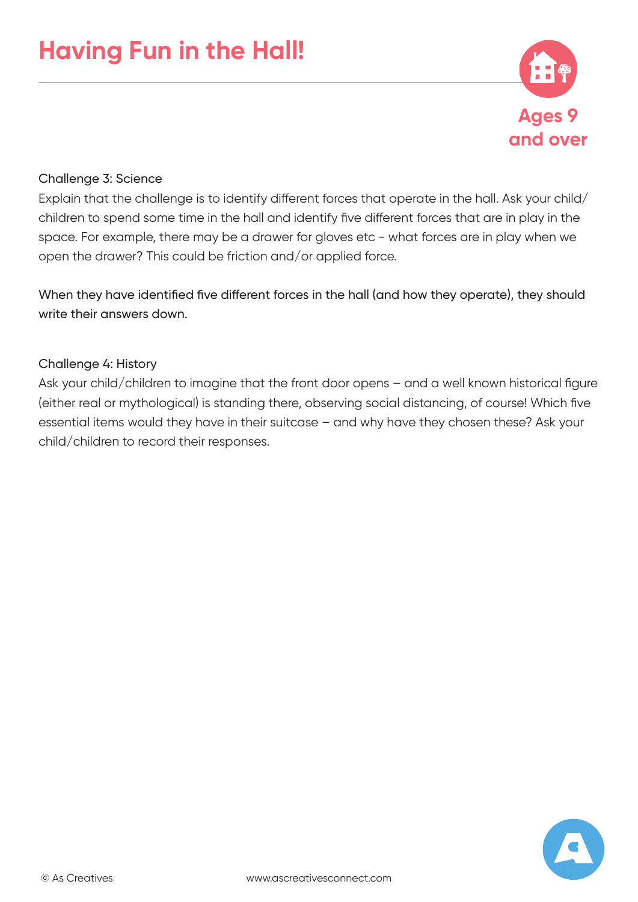

#### Challenge 3: Science

Explain that the challenge is to identify different forces that operate in the hall. Ask your child/ children to spend some time in the hall and identify five different forces that are in play in the space. For example, there may be a drawer for gloves etc - what forces are in play when we open the drawer? This could be friction and/or applied force.

When they have identified five different forces in the hall (and how they operate), they should write their answers down

#### Challenge 4: History

Ask your child/children to imagine that the front door opens – and a well known historical figure (either real or mythological) is standing there, observing social distancing, of course! Which five essential items would they have in their suitcase – and why have they chosen these? Ask your child/children to record their responses.

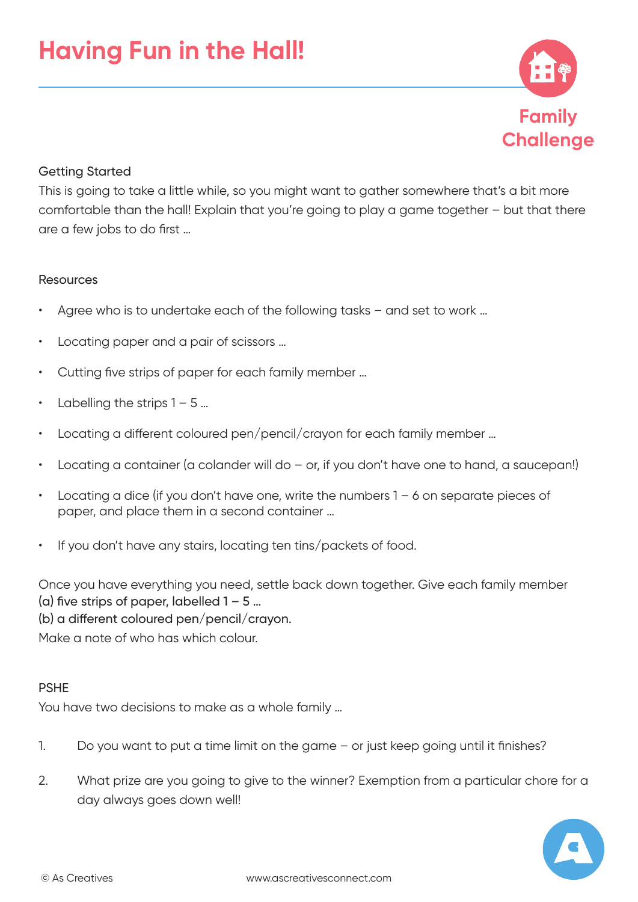

#### Getting Started

This is going to take a little while, so you might want to gather somewhere that's a bit more comfortable than the hall! Explain that you're going to play a game together – but that there are a few jobs to do first …

#### Resources

- Agree who is to undertake each of the following tasks and set to work ...
- Locating paper and a pair of scissors ...
- Cutting five strips of paper for each family member …
- Labelling the strips  $1 5$  ...
- Locating a different coloured pen/pencil/crayon for each family member ...
- Locating a container (a colander will do  $-$  or, if you don't have one to hand, a saucepan!)
- Locating a dice (if you don't have one, write the numbers  $1 6$  on separate pieces of paper, and place them in a second container …
- If you don't have any stairs, locating ten tins/packets of food.

Once you have everything you need, settle back down together. Give each family member (a) five strips of paper, labelled  $1 - 5$  ...

(b) a different coloured pen/pencil/crayon.

Make a note of who has which colour.

#### PSHE

You have two decisions to make as a whole family …

- 1. Do you want to put a time limit on the game or just keep going until it finishes?
- 2. What prize are you going to give to the winner? Exemption from a particular chore for a day always goes down well!

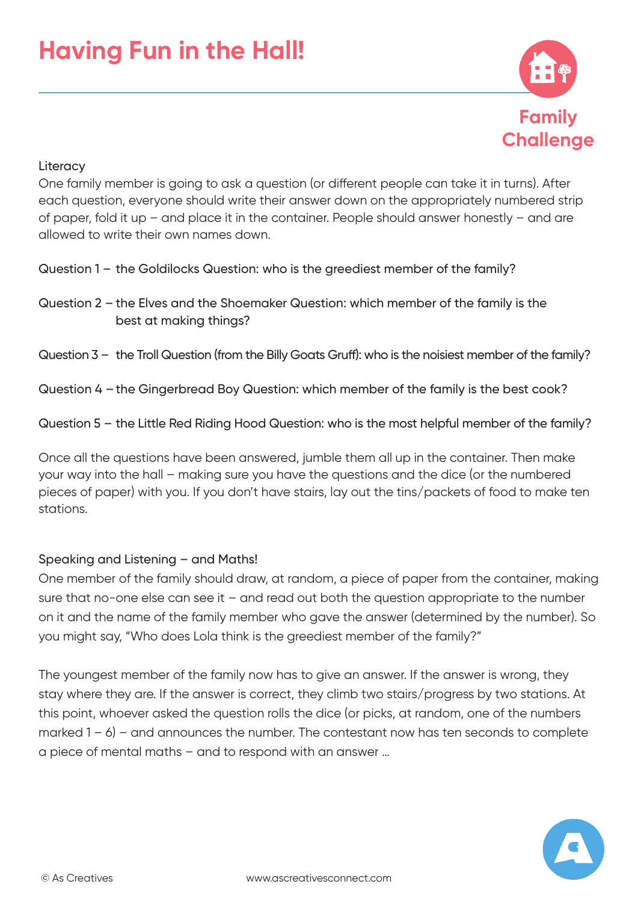

#### **Literacy**

One family member is going to ask a question (or different people can take it in turns). After each question, everyone should write their answer down on the appropriately numbered strip of paper, fold it up – and place it in the container. People should answer honestly – and are allowed to write their own names down.

- Question 1 the Goldilocks Question: who is the greediest member of the family?
- Question 2 the Elves and the Shoemaker Question: which member of the family is the best at making things?

#### Question 3 – the Troll Question (from the Billy Goats Gruff): who is the noisiest member of the family?

- Question 4 the Gingerbread Boy Question: which member of the family is the best cook?
- Question 5 the Little Red Riding Hood Question: who is the most helpful member of the family?

Once all the questions have been answered, jumble them all up in the container. Then make your way into the hall – making sure you have the questions and the dice (or the numbered pieces of paper) with you. If you don't have stairs, lay out the tins/packets of food to make ten stations.

#### Speaking and Listening – and Maths!

One member of the family should draw, at random, a piece of paper from the container, making sure that no-one else can see it – and read out both the question appropriate to the number on it and the name of the family member who gave the answer (determined by the number). So you might say, "Who does Lola think is the greediest member of the family?"

The youngest member of the family now has to give an answer. If the answer is wrong, they stay where they are. If the answer is correct, they climb two stairs/progress by two stations. At this point, whoever asked the question rolls the dice (or picks, at random, one of the numbers marked  $1 - 6$ ) – and announces the number. The contestant now has ten seconds to complete a piece of mental maths – and to respond with an answer …